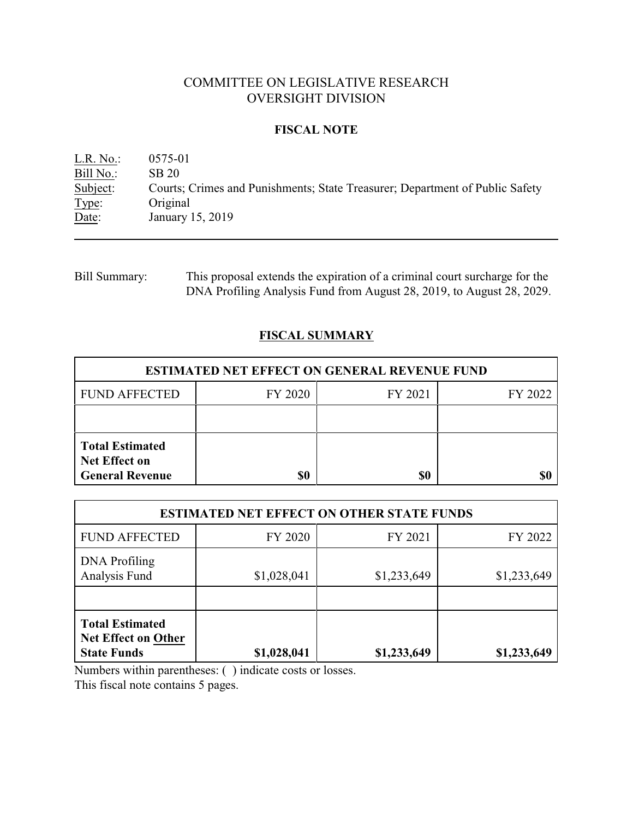# COMMITTEE ON LEGISLATIVE RESEARCH OVERSIGHT DIVISION

### **FISCAL NOTE**

L.R. No.: 0575-01 Bill No.: SB 20<br>Subject: Courts Courts; Crimes and Punishments; State Treasurer; Department of Public Safety Type: Original Date: January 15, 2019

Bill Summary: This proposal extends the expiration of a criminal court surcharge for the DNA Profiling Analysis Fund from August 28, 2019, to August 28, 2029.

# **FISCAL SUMMARY**

| <b>ESTIMATED NET EFFECT ON GENERAL REVENUE FUND</b>                      |         |         |         |  |
|--------------------------------------------------------------------------|---------|---------|---------|--|
| <b>FUND AFFECTED</b>                                                     | FY 2020 | FY 2021 | FY 2022 |  |
|                                                                          |         |         |         |  |
| <b>Total Estimated</b><br><b>Net Effect on</b><br><b>General Revenue</b> |         | \$0     |         |  |

| <b>ESTIMATED NET EFFECT ON OTHER STATE FUNDS</b>                           |             |             |             |  |
|----------------------------------------------------------------------------|-------------|-------------|-------------|--|
| <b>FUND AFFECTED</b>                                                       | FY 2020     | FY 2021     | FY 2022     |  |
| <b>DNA</b> Profiling<br>Analysis Fund                                      | \$1,028,041 | \$1,233,649 | \$1,233,649 |  |
| <b>Total Estimated</b><br><b>Net Effect on Other</b><br><b>State Funds</b> | \$1,028,041 | \$1,233,649 | \$1,233,649 |  |

Numbers within parentheses: ( ) indicate costs or losses.

This fiscal note contains 5 pages.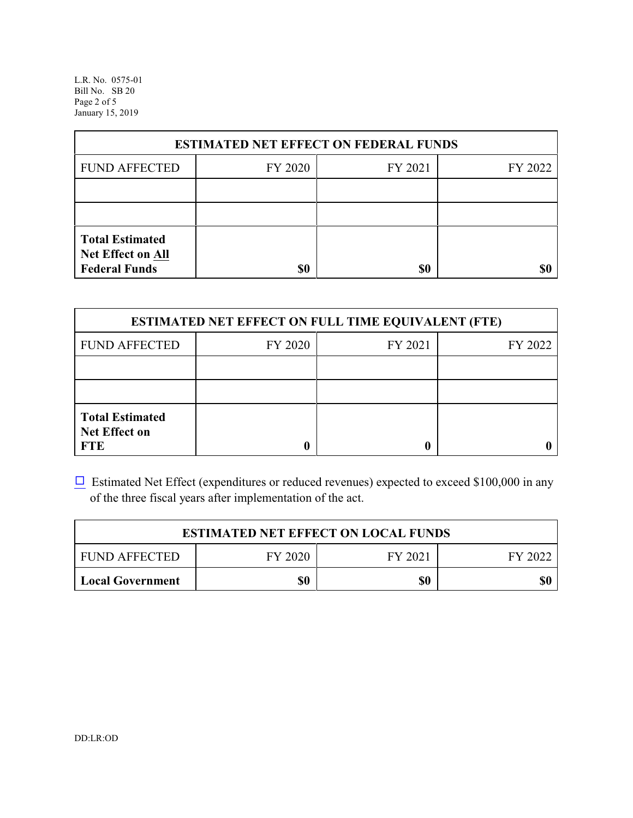L.R. No. 0575-01 Bill No. SB 20 Page 2 of 5 January 15, 2019

| <b>ESTIMATED NET EFFECT ON FEDERAL FUNDS</b>                        |         |         |         |  |
|---------------------------------------------------------------------|---------|---------|---------|--|
| <b>FUND AFFECTED</b>                                                | FY 2020 | FY 2021 | FY 2022 |  |
|                                                                     |         |         |         |  |
|                                                                     |         |         |         |  |
| <b>Total Estimated</b><br>Net Effect on All<br><b>Federal Funds</b> | \$0     | \$0     |         |  |

| <b>ESTIMATED NET EFFECT ON FULL TIME EQUIVALENT (FTE)</b>    |         |         |         |  |
|--------------------------------------------------------------|---------|---------|---------|--|
| <b>FUND AFFECTED</b>                                         | FY 2020 | FY 2021 | FY 2022 |  |
|                                                              |         |         |         |  |
|                                                              |         |         |         |  |
| <b>Total Estimated</b><br><b>Net Effect on</b><br><b>FTE</b> |         |         |         |  |

 $\Box$  Estimated Net Effect (expenditures or reduced revenues) expected to exceed \$100,000 in any of the three fiscal years after implementation of the act.

| <b>ESTIMATED NET EFFECT ON LOCAL FUNDS</b> |         |         |         |
|--------------------------------------------|---------|---------|---------|
| <b>FUND AFFECTED</b>                       | FY 2020 | FY 2021 | FY 2022 |
| <b>Local Government</b>                    | \$0     | \$0     | \$0     |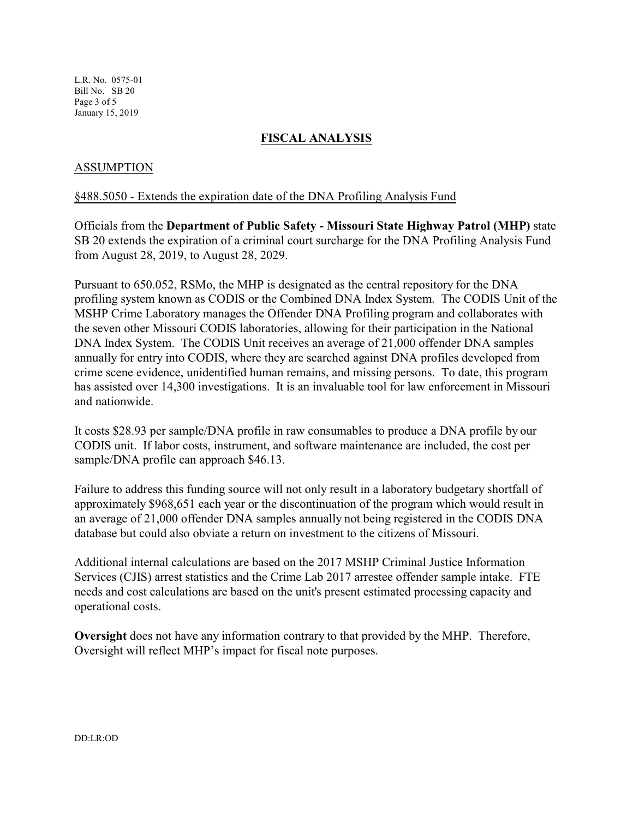L.R. No. 0575-01 Bill No. SB 20 Page 3 of 5 January 15, 2019

### **FISCAL ANALYSIS**

### ASSUMPTION

#### §488.5050 - Extends the expiration date of the DNA Profiling Analysis Fund

Officials from the **Department of Public Safety - Missouri State Highway Patrol (MHP)** state SB 20 extends the expiration of a criminal court surcharge for the DNA Profiling Analysis Fund from August 28, 2019, to August 28, 2029.

Pursuant to 650.052, RSMo, the MHP is designated as the central repository for the DNA profiling system known as CODIS or the Combined DNA Index System. The CODIS Unit of the MSHP Crime Laboratory manages the Offender DNA Profiling program and collaborates with the seven other Missouri CODIS laboratories, allowing for their participation in the National DNA Index System. The CODIS Unit receives an average of 21,000 offender DNA samples annually for entry into CODIS, where they are searched against DNA profiles developed from crime scene evidence, unidentified human remains, and missing persons. To date, this program has assisted over 14,300 investigations. It is an invaluable tool for law enforcement in Missouri and nationwide.

It costs \$28.93 per sample/DNA profile in raw consumables to produce a DNA profile by our CODIS unit. If labor costs, instrument, and software maintenance are included, the cost per sample/DNA profile can approach \$46.13.

Failure to address this funding source will not only result in a laboratory budgetary shortfall of approximately \$968,651 each year or the discontinuation of the program which would result in an average of 21,000 offender DNA samples annually not being registered in the CODIS DNA database but could also obviate a return on investment to the citizens of Missouri.

Additional internal calculations are based on the 2017 MSHP Criminal Justice Information Services (CJIS) arrest statistics and the Crime Lab 2017 arrestee offender sample intake. FTE needs and cost calculations are based on the unit's present estimated processing capacity and operational costs.

**Oversight** does not have any information contrary to that provided by the MHP. Therefore, Oversight will reflect MHP's impact for fiscal note purposes.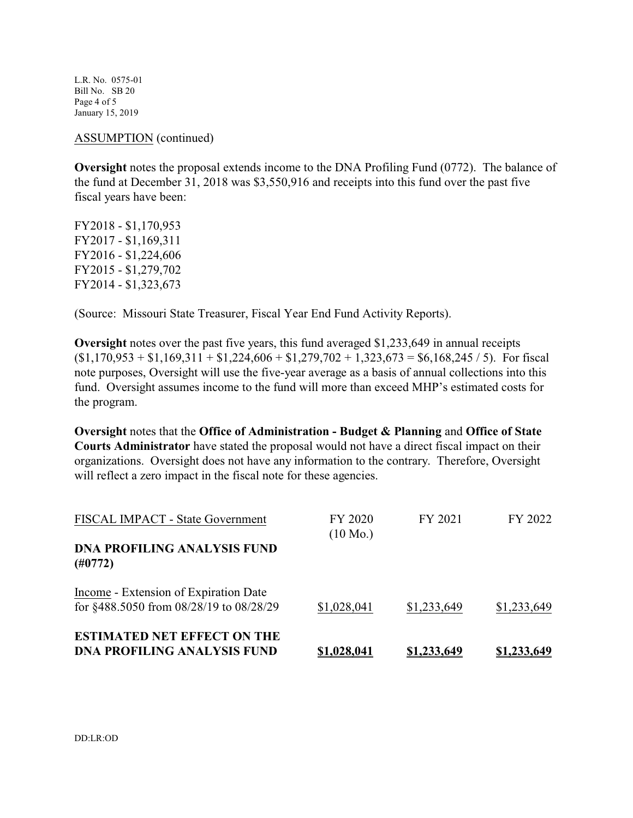L.R. No. 0575-01 Bill No. SB 20 Page 4 of 5 January 15, 2019

ASSUMPTION (continued)

**Oversight** notes the proposal extends income to the DNA Profiling Fund (0772). The balance of the fund at December 31, 2018 was \$3,550,916 and receipts into this fund over the past five fiscal years have been:

FY2018 - \$1,170,953 FY2017 - \$1,169,311 FY2016 - \$1,224,606 FY2015 - \$1,279,702 FY2014 - \$1,323,673

(Source: Missouri State Treasurer, Fiscal Year End Fund Activity Reports).

**Oversight** notes over the past five years, this fund averaged \$1,233,649 in annual receipts  $(1,170,953 + 1,169,311 + 1,224,606 + 1,279,702 + 1,323,673 = 1,68,245 / 5)$ . For fiscal note purposes, Oversight will use the five-year average as a basis of annual collections into this fund. Oversight assumes income to the fund will more than exceed MHP's estimated costs for the program.

**Oversight** notes that the **Office of Administration - Budget & Planning** and **Office of State Courts Administrator** have stated the proposal would not have a direct fiscal impact on their organizations. Oversight does not have any information to the contrary. Therefore, Oversight will reflect a zero impact in the fiscal note for these agencies.

| FISCAL IMPACT - State Government                                                 | FY 2020<br>$(10 \text{ Mo.})$ | FY 2021            | FY 2022            |
|----------------------------------------------------------------------------------|-------------------------------|--------------------|--------------------|
| <b>DNA PROFILING ANALYSIS FUND</b><br>(H0772)                                    |                               |                    |                    |
| Income - Extension of Expiration Date<br>for §488.5050 from 08/28/19 to 08/28/29 | \$1,028,041                   | \$1,233,649        | \$1,233,649        |
| <b>ESTIMATED NET EFFECT ON THE</b><br><b>DNA PROFILING ANALYSIS FUND</b>         | <u>\$1,028,041</u>            | <u>\$1,233,649</u> | <u>\$1,233,649</u> |